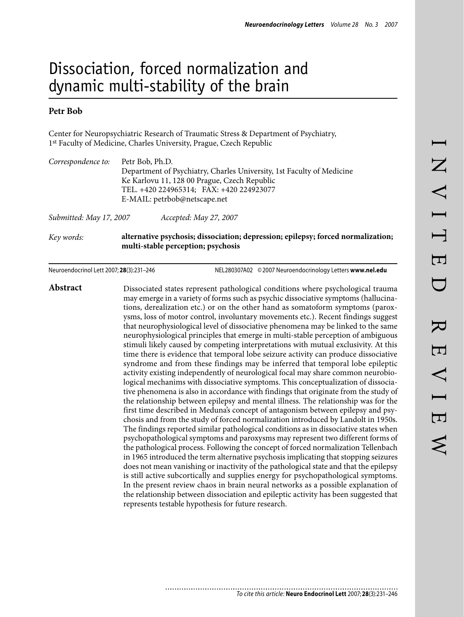# Dissociation, forced normalization and dynamic multi-stability of the brain

# **Petr Bob**

Center for Neuropsychiatric Research of Traumatic Stress & Department of Psychiatry, 1st Faculty of Medicine, Charles University, Prague, Czech Republic

| Submitted: May 17, 2007 | Accepted: May 27, 2007<br>alternative psychosis; dissociation; depression; epilepsy; forced normalization; |
|-------------------------|------------------------------------------------------------------------------------------------------------|
|                         | E-MAIL: petrbob@netscape.net                                                                               |
|                         | TEL. +420 224965314; FAX: +420 224923077                                                                   |
|                         | Ke Karlovu 11, 128 00 Prague, Czech Republic                                                               |
|                         | Department of Psychiatry, Charles University, 1st Faculty of Medicine                                      |
| Correspondence to:      | Petr Bob, Ph.D.                                                                                            |

**multi-stable perception; psychosis**

Neuroendocrinol Lett 2007; **28**(3):231–246 NEL280307A02 ©2007 Neuroendocrinology Letters **www.nel.edu**

**Abstract** Dissociated states represent pathological conditions where psychological trauma may emerge in a variety of forms such as psychic dissociative symptoms (hallucinations, derealization etc.) or on the other hand as somatoform symptoms (paroxysms, loss of motor control, involuntary movements etc.). Recent findings suggest that neurophysiological level of dissociative phenomena may be linked to the same neurophysiological principles that emerge in multi-stable perception of ambiguous stimuli likely caused by competing interpretations with mutual exclusivity. At this time there is evidence that temporal lobe seizure activity can produce dissociative syndrome and from these findings may be inferred that temporal lobe epileptic activity existing independently of neurological focal may share common neurobiological mechanims with dissociative symptoms. This conceptualization of dissociative phenomena is also in accordance with findings that originate from the study of the relationship between epilepsy and mental illness. The relationship was for the first time described in Meduna's concept of antagonism between epilepsy and psychosis and from the study of forced normalization introduced by Landolt in 1950s. The findings reported similar pathological conditions as in dissociative states when psychopathological symptoms and paroxysms may represent two different forms of the pathological process. Following the concept of forced normalization Tellenbach in 1965 introduced the term alternative psychosis implicating that stopping seizures does not mean vanishing or inactivity of the pathological state and that the epilepsy is still active subcortically and supplies energy for psychopathological symptoms. In the present review chaos in brain neural networks as a possible explanation of the relationship between dissociation and epileptic activity has been suggested that represents testable hypothesis for future research.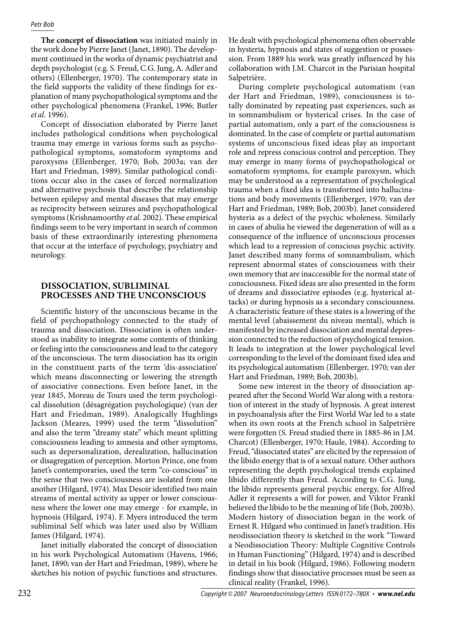**The concept of dissociation** was initiated mainly in the work done by Pierre Janet (Janet, 1890). The development continued in the works of dynamic psychiatrist and depth psychologist (e.g. S. Freud, C.G. Jung, A. Adler and others) (Ellenberger, 1970). The contemporary state in the field supports the validity of these findings for explanation of many psychopathological symptoms and the other psychological phenomena (Frankel, 1996; Butler *et al.* 1996).

Concept of dissociation elaborated by Pierre Janet includes pathological conditions when psychological trauma may emerge in various forms such as psychopathological symptoms, somatoform symptoms and paroxysms (Ellenberger, 1970; Bob, 2003a; van der Hart and Friedman, 1989). Similar pathological conditions occur also in the cases of forced normalization and alternative psychosis that describe the relationship between epilepsy and mental diseases that may emerge as reciprocity between seizures and psychopathological symptoms (Krishnamoorthy *et al.* 2002). These empirical findings seem to be very important in search of common basis of these extraordinarily interesting phenomena that occur at the interface of psychology, psychiatry and neurology.

# **Dissociation, subliminal processes and the unconscious**

Scientific history of the unconscious became in the field of psychopathology connected to the study of trauma and dissociation. Dissociation is often understood as inability to integrate some contents of thinking or feeling into the consciousness and lead to the category of the unconscious. The term dissociation has its origin in the constituent parts of the term 'dis-association' which means disconnecting or lowering the strength of associative connections. Even before Janet, in the year 1845, Moreau de Tours used the term psychological dissolution (désagrégation psychologique) (van der Hart and Friedman, 1989). Analogically Hughlings Jackson (Meares, 1999) used the term "dissolution" and also the term "dreamy state" which meant splitting consciousness leading to amnesia and other symptoms, such as depersonalization, derealization, hallucination or disagregation of perception. Morton Prince, one from Janet's contemporaries, used the term "co-conscious" in the sense that two consciousness are isolated from one another (Hilgard, 1974). Max Desoir identified two main streams of mental activity as upper or lower consciousness where the lower one may emerge - for example, in hypnosis (Hilgard, 1974). F. Myers introduced the term subliminal Self which was later used also by William James (Hilgard, 1974).

Janet initially elaborated the concept of dissociation in his work Psychological Automatism (Havens, 1966; Janet, 1890; van der Hart and Friedman, 1989), where he sketches his notion of psychic functions and structures. He dealt with psychological phenomena often observable in hysteria, hypnosis and states of suggestion or possession. From 1889 his work was greatly influenced by his collaboration with J.M. Charcot in the Parisian hospital Salpetrière.

During complete psychological automatism (van der Hart and Friedman, 1989), consciousness is totally dominated by repeating past experiences, such as in somnambulism or hysterical crises. In the case of partial automatism, only a part of the consciousness is dominated. In the case of complete or partial automatism systems of unconscious fixed ideas play an important role and repress conscious control and perception. They may emerge in many forms of psychopathological or somatoform symptoms, for example paroxysm, which may be understood as a representation of psychological trauma when a fixed idea is transformed into hallucinations and body movements (Ellenberger, 1970; van der Hart and Friedman, 1989; Bob, 2003b). Janet considered hysteria as a defect of the psychic wholeness. Similarly in cases of abulia he viewed the degeneration of will as a consequence of the influence of unconscious processes which lead to a repression of conscious psychic activity. Janet described many forms of somnambulism, which represent abnormal states of consciousness with their own memory that are inaccessible for the normal state of consciousness. Fixed ideas are also presented in the form of dreams and dissociative episodes (e.g. hysterical attacks) or during hypnosis as a secondary consciousness. A characteristic feature of these states is a lowering of the mental level (abaissement du niveau mental), which is manifested by increased dissociation and mental depression connected to the reduction of psychological tension. It leads to integration at the lower psychological level corresponding to the level of the dominant fixed idea and its psychological automatism (Ellenberger, 1970; van der Hart and Friedman, 1989; Bob, 2003b).

Some new interest in the theory of dissociation appeared after the Second World War along with a restoration of interest in the study of hypnosis. A great interest in psychoanalysis after the First World War led to a state when its own roots at the French school in Salpetrière were forgotten (S. Freud studied there in 1885-86 in J.M. Charcot) (Ellenberger, 1970; Haule, 1984). According to Freud, "dissociated states" are elicited by the repression of the libido energy that is of a sexual nature. Other authors representing the depth psychological trends explained libido differently than Freud. According to C.G. Jung, the libido represents general psychic energy, for Alfred Adler it represents a will for power, and Viktor Frankl believed the libido to be the meaning of life (Bob, 2003b). Modern history of dissociation began in the work of Ernest R. Hilgard who continued in Janet's tradition. His neodissociation theory is sketched in the work "Toward a Neodissociation Theory: Multiple Cognitive Controls in Human Functioning" (Hilgard, 1974) and is described in detail in his book (Hilgard, 1986). Following modern findings show that dissociative processes must be seen as clinical reality (Frankel, 1996).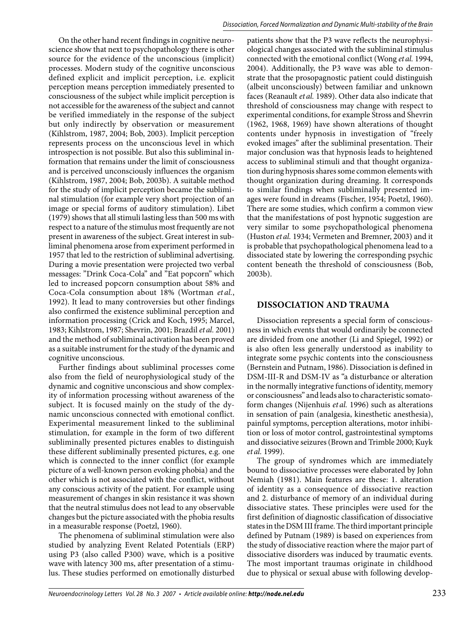On the other hand recent findings in cognitive neuroscience show that next to psychopathology there is other source for the evidence of the unconscious (implicit) processes. Modern study of the cognitive unconscious defined explicit and implicit perception, i.e. explicit perception means perception immediately presented to consciousness of the subject while implicit perception is not accessible for the awareness of the subject and cannot be verified immediately in the response of the subject but only indirectly by observation or measurement (Kihlstrom, 1987, 2004; Bob, 2003). Implicit perception represents process on the unconscious level in which introspection is not possible. But also this subliminal information that remains under the limit of consciousness and is perceived unconsciously influences the organism (Kihlstrom, 1987, 2004; Bob, 2003b). A suitable method for the study of implicit perception became the subliminal stimulation (for example very short projection of an image or special forms of auditory stimulation). Libet (1979) shows that all stimuli lasting less than 500 ms with respect to a nature of the stimulus most frequently are not present in awareness of the subject. Great interest in subliminal phenomena arose from experiment performed in 1957 that led to the restriction of subliminal advertising. During a movie presentation were projected two verbal messages: "Drink Coca-Cola" and "Eat popcorn" which led to increased popcorn consumption about 58% and Coca-Cola consumption about 18% (Wortman *et al.*, 1992). It lead to many controversies but other findings also confirmed the existence subliminal perception and information processing (Crick and Koch, 1995; Marcel, 1983; Kihlstrom, 1987; Shevrin, 2001; Brazdil *et al.* 2001) and the method of subliminal activation has been proved as a suitable instrument for the study of the dynamic and cognitive unconscious.

Further findings about subliminal processes come also from the field of neurophysiological study of the dynamic and cognitive unconscious and show complexity of information processing without awareness of the subject. It is focused mainly on the study of the dynamic unconscious connected with emotional conflict. Experimental measurement linked to the subliminal stimulation, for example in the form of two different subliminally presented pictures enables to distinguish these different subliminally presented pictures, e.g. one which is connected to the inner conflict (for example picture of a well-known person evoking phobia) and the other which is not associated with the conflict, without any conscious activity of the patient. For example using measurement of changes in skin resistance it was shown that the neutral stimulus does not lead to any observable changes but the picture associated with the phobia results in a measurable response (Poetzl, 1960).

The phenomena of subliminal stimulation were also studied by analyzing Event Related Potentials (ERP) using P3 (also called P300) wave, which is a positive wave with latency 300 ms, after presentation of a stimulus. These studies performed on emotionally disturbed patients show that the P3 wave reflects the neurophysiological changes associated with the subliminal stimulus connected with the emotional conflict (Wong *et al.* 1994, 2004). Additionally, the P3 wave was able to demonstrate that the prosopagnostic patient could distinguish (albeit unconsciously) between familiar and unknown faces (Reanault *et al.* 1989). Other data also indicate that threshold of consciousness may change with respect to experimental conditions, for example Stross and Shevrin (1962, 1968, 1969) have shown alterations of thought contents under hypnosis in investigation of "freely evoked images" after the subliminal presentation. Their major conclusion was that hypnosis leads to heightened access to subliminal stimuli and that thought organization during hypnosis shares some common elements with thought organization during dreaming. It corresponds to similar findings when subliminally presented images were found in dreams (Fischer, 1954; Poetzl, 1960). There are some studies, which confirm a common view that the manifestations of post hypnotic suggestion are very similar to some psychopathological phenomena (Huston *et al.* 1934; Vermeten and Bremner, 2003) and it is probable that psychopathological phenomena lead to a dissociated state by lowering the corresponding psychic content beneath the threshold of consciousness (Bob, 2003b).

# **Dissociation and trauma**

Dissociation represents a special form of consciousness in which events that would ordinarily be connected are divided from one another (Li and Spiegel, 1992) or is also often less generally understood as inability to integrate some psychic contents into the consciousness (Bernstein and Putnam, 1986). Dissociation is defined in DSM-III-R and DSM-IV as "a disturbance or alteration in the normally integrative functions of identity, memory or consciousness" and leads also to characteristic somatoform changes (Nijenhuis *et al.* 1996) such as alterations in sensation of pain (analgesia, kinesthetic anesthesia), painful symptoms, perception alterations, motor inhibition or loss of motor control, gastrointestinal symptoms and dissociative seizures (Brown and Trimble 2000; Kuyk *et al.* 1999).

The group of syndromes which are immediately bound to dissociative processes were elaborated by John Nemiah (1981). Main features are these: 1. alteration of identity as a consequence of dissociative reaction and 2. disturbance of memory of an individual during dissociative states. These principles were used for the first definition of diagnostic classification of dissociative states in the DSM III frame. The third important principle defined by Putnam (1989) is based on experiences from the study of dissociative reaction where the major part of dissociative disorders was induced by traumatic events. The most important traumas originate in childhood due to physical or sexual abuse with following develop-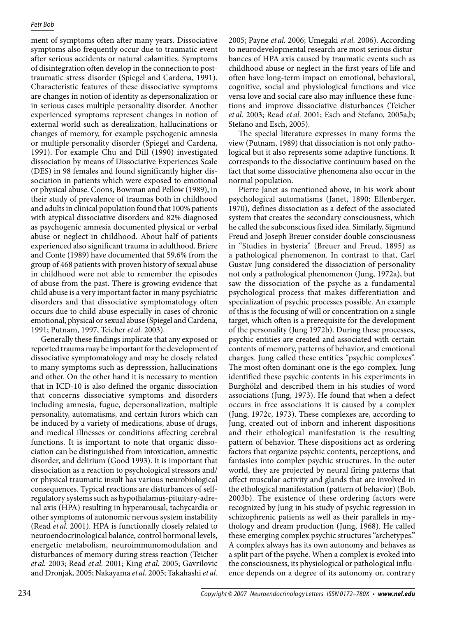ment of symptoms often after many years. Dissociative symptoms also frequently occur due to traumatic event after serious accidents or natural calamities. Symptoms of disintegration often develop in the connection to posttraumatic stress disorder (Spiegel and Cardena, 1991). Characteristic features of these dissociative symptoms are changes in notion of identity as depersonalization or in serious cases multiple personality disorder. Another experienced symptoms represent changes in notion of external world such as derealization, hallucinations or changes of memory, for example psychogenic amnesia or multiple personality disorder (Spiegel and Cardena, 1991). For example Chu and Dill (1990) investigated dissociation by means of Dissociative Experiences Scale (DES) in 98 females and found significantly higher dissociation in patients which were exposed to emotional or physical abuse. Coons, Bowman and Pellow (1989), in their study of prevalence of traumas both in childhood and adults in clinical population found that 100% patients with atypical dissociative disorders and 82% diagnosed as psychogenic amnesia documented physical or verbal abuse or neglect in childhood. About half of patients experienced also significant trauma in adulthood. Briere and Conte (1989) have documented that 59,6% from the group of 468 patients with proven history of sexual abuse in childhood were not able to remember the episodes of abuse from the past. There is growing evidence that child abuse is a very important factor in many psychiatric disorders and that dissociative symptomatology often occurs due to child abuse especially in cases of chronic emotional, physical or sexual abuse (Spiegel and Cardena, 1991; Putnam, 1997, Teicher *et al.* 2003).

Generally these findings implicate that any exposed or reported trauma may be important for the development of dissociative symptomatology and may be closely related to many symptoms such as depresssion, hallucinations and other. On the other hand it is necessary to mention that in ICD-10 is also defined the organic dissociation that concerns dissociative symptoms and disorders including amnesia, fugue, depersonalization, multiple personality, automatisms, and certain furors which can be induced by a variety of medications, abuse of drugs, and medical illnesses or conditions affecting cerebral functions. It is important to note that organic dissociation can be distinguished from intoxication, amnestic disorder, and delirium (Good 1993). It is important that dissociation as a reaction to psychological stressors and/ or physical traumatic insult has various neurobiological consequences. Typical reactions are disturbances of selfregulatory systems such as hypothalamus-pituitary-adrenal axis (HPA) resulting in hyperarousal, tachycardia or other symptoms of autonomic nervous system instability (Read *et al.* 2001). HPA is functionally closely related to neuroendocrinological balance, control hormonal levels, energetic metabolism, neuroimmunomodulation and disturbances of memory during stress reaction (Teicher *et al.* 2003; Read *et al.* 2001; King *et al.* 2005; Gavrilovic and Dronjak, 2005; Nakayama *et al.* 2005; Takahashi *et al.*

2005; Payne *et al.* 2006; Umegaki *et al.* 2006). According to neurodevelopmental research are most serious disturbances of HPA axis caused by traumatic events such as childhood abuse or neglect in the first years of life and often have long-term impact on emotional, behavioral, cognitive, social and physiological functions and vice versa love and social care also may influence these functions and improve dissociative disturbances (Teicher *et al.* 2003; Read *et al.* 2001; Esch and Stefano, 2005a,b; Stefano and Esch, 2005).

The special literature expresses in many forms the view (Putnam, 1989) that dissociation is not only pathological but it also represents some adaptive functions. It corresponds to the dissociative continuum based on the fact that some dissociative phenomena also occur in the normal population.

Pierre Janet as mentioned above, in his work about psychological automatisms (Janet, 1890; Ellenberger, 1970), defines dissociation as a defect of the associated system that creates the secondary consciousness, which he called the subconscious fixed idea. Similarly, Sigmund Freud and Joseph Breuer consider double consciousness in "Studies in hysteria" (Breuer and Freud, 1895) as a pathological phenomenon. In contrast to that, Carl Gustav Jung considered the dissociation of personality not only a pathological phenomenon (Jung, 1972a), but saw the dissociation of the psyche as a fundamental psychological process that makes differentiation and specialization of psychic processes possible. An example of this is the focusing of will or concentration on a single target, which often is a prerequisite for the development of the personality (Jung 1972b). During these processes, psychic entities are created and associated with certain contents of memory, patterns of behavior, and emotional charges. Jung called these entities "psychic complexes". The most often dominant one is the ego-complex. Jung identified these psychic contents in his experiments in Burghölzl and described them in his studies of word associations (Jung, 1973). He found that when a defect occurs in free associations it is caused by a complex (Jung, 1972c, 1973). These complexes are, according to Jung, created out of inborn and inherent dispositions and their ethological manifestation is the resulting pattern of behavior. These dispositions act as ordering factors that organize psychic contents, perceptions, and fantasies into complex psychic structures. In the outer world, they are projected by neural firing patterns that affect muscular activity and glands that are involved in the ethological manifestation (pattern of behavior) (Bob, 2003b). The existence of these ordering factors were recognized by Jung in his study of psychic regression in schizophrenic patients as well as their parallels in mythology and dream production (Jung, 1968). He called these emerging complex psychic structures "archetypes." A complex always has its own autonomy and behaves as a split part of the psyche. When a complex is evoked into the consciousness, its physiological or pathological influence depends on a degree of its autonomy or, contrary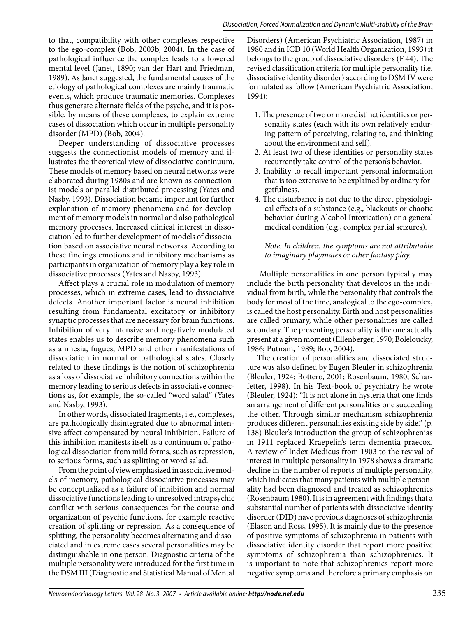to that, compatibility with other complexes respective to the ego-complex (Bob, 2003b, 2004). In the case of pathological influence the complex leads to a lowered mental level (Janet, 1890; van der Hart and Friedman, 1989). As Janet suggested, the fundamental causes of the etiology of pathological complexes are mainly traumatic events, which produce traumatic memories. Complexes thus generate alternate fields of the psyche, and it is possible, by means of these complexes, to explain extreme cases of dissociation which occur in multiple personality disorder (MPD) (Bob, 2004).

Deeper understanding of dissociative processes suggests the connectionist models of memory and illustrates the theoretical view of dissociative continuum. These models of memory based on neural networks were elaborated during 1980s and are known as connectionist models or parallel distributed processing (Yates and Nasby, 1993). Dissociation became important for further explanation of memory phenomena and for development of memory models in normal and also pathological memory processes. Increased clinical interest in dissociation led to further development of models of dissociation based on associative neural networks. According to these findings emotions and inhibitory mechanisms as participants in organization of memory play a key role in dissociative processes (Yates and Nasby, 1993).

Affect plays a crucial role in modulation of memory processes, which in extreme cases, lead to dissociative defects. Another important factor is neural inhibition resulting from fundamental excitatory or inhibitory synaptic processes that are necessary for brain functions. Inhibition of very intensive and negatively modulated states enables us to describe memory phenomena such as amnesia, fugues, MPD and other manifestations of dissociation in normal or pathological states. Closely related to these findings is the notion of schizophrenia as a loss of dissociative inhibitory connections within the memory leading to serious defects in associative connections as, for example, the so-called "word salad" (Yates and Nasby, 1993).

In other words, dissociated fragments, i.e., complexes, are pathologically disintegrated due to abnormal intensive affect compensated by neural inhibition. Failure of this inhibition manifests itself as a continuum of pathological dissociation from mild forms, such as repression, to serious forms, such as splitting or word salad.

From the point of view emphasized in associative models of memory, pathological dissociative processes may be conceptualized as a failure of inhibition and normal dissociative functions leading to unresolved intrapsychic conflict with serious consequences for the course and organization of psychic functions, for example reactive creation of splitting or repression. As a consequence of splitting, the personality becomes alternating and dissociated and in extreme cases several personalities may be distinguishable in one person. Diagnostic criteria of the multiple personality were introduced for the first time in the DSM III (Diagnostic and Statistical Manual of Mental

Disorders) (American Psychiatric Association, 1987) in 1980 and in ICD 10 (World Health Organization, 1993) it belongs to the group of dissociative disorders (F 44). The revised classification criteria for multiple personality (i.e. dissociative identity disorder) according to DSM IV were formulated as follow (American Psychiatric Association, 1994):

- 1. The presence of two or more distinct identities or personality states (each with its own relatively enduring pattern of perceiving, relating to, and thinking about the environment and self).
- 2. At least two of these identities or personality states recurrently take control of the person's behavior.
- 3. Inability to recall important personal information that is too extensive to be explained by ordinary forgetfulness.
- 4. The disturbance is not due to the direct physiological effects of a substance (e.g., blackouts or chaotic behavior during Alcohol Intoxication) or a general medical condition (e.g., complex partial seizures).

*Note: In children, the symptoms are not attributable to imaginary playmates or other fantasy play.*

 Multiple personalities in one person typically may include the birth personality that develops in the individual from birth, while the personality that controls the body for most of the time, analogical to the ego-complex, is called the host personality. Birth and host personalities are called primary, while other personalities are called secondary. The presenting personality is the one actually present at a given moment (Ellenberger, 1970; Boleloucky, 1986; Putnam, 1989; Bob, 2004).

The creation of personalities and dissociated structure was also defined by Eugen Bleuler in schizophrenia (Bleuler, 1924; Bottero, 2001; Rosenbaum, 1980; Scharfetter, 1998). In his Text-book of psychiatry he wrote (Bleuler, 1924): "It is not alone in hysteria that one finds an arrangement of different personalities one succeeding the other. Through similar mechanism schizophrenia produces different personalities existing side by side." (p. 138) Bleuler's introduction the group of schizophrenias in 1911 replaced Kraepelin's term dementia praecox. A review of Index Medicus from 1903 to the revival of interest in multiple personality in 1978 shows a dramatic decline in the number of reports of multiple personality, which indicates that many patients with multiple personality had been diagnosed and treated as schizophrenics (Rosenbaum 1980). It is in agreement with findings that a substantial number of patients with dissociative identity disorder (DID) have previous diagnoses of schizophrenia (Elason and Ross, 1995). It is mainly due to the presence of positive symptoms of schizophrenia in patients with dissociative identity disorder that report more positive symptoms of schizophrenia than schizophrenics. It is important to note that schizophrenics report more negative symptoms and therefore a primary emphasis on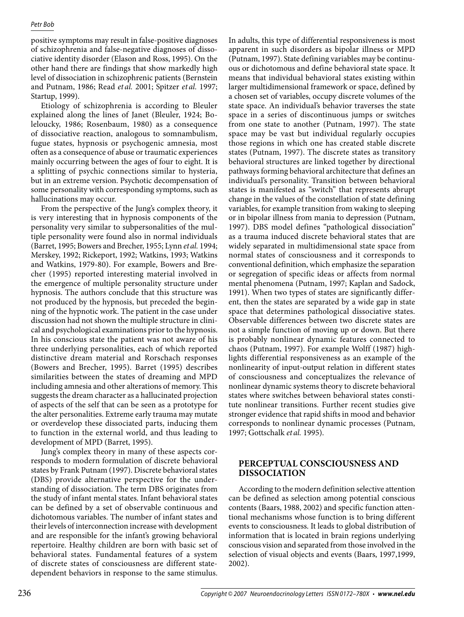positive symptoms may result in false-positive diagnoses of schizophrenia and false-negative diagnoses of dissociative identity disorder (Elason and Ross, 1995). On the other hand there are findings that show markedly high level of dissociation in schizophrenic patients (Bernstein and Putnam, 1986; Read *et al.* 2001; Spitzer *et al.* 1997; Startup, 1999).

Etiology of schizophrenia is according to Bleuler explained along the lines of Janet (Bleuler, 1924; Boleloucky, 1986; Rosenbaum, 1980) as a consequence of dissociative reaction, analogous to somnambulism, fugue states, hypnosis or psychogenic amnesia, most often as a consequence of abuse or traumatic experiences mainly occurring between the ages of four to eight. It is a splitting of psychic connections similar to hysteria, but in an extreme version. Psychotic decompensation of some personality with corresponding symptoms, such as hallucinations may occur.

From the perspective of the Jung's complex theory, it is very interesting that in hypnosis components of the personality very similar to subpersonalities of the multiple personality were found also in normal individuals (Barret, 1995; Bowers and Brecher, 1955; Lynn *etal.* 1994; Merskey, 1992; Rickeport, 1992; Watkins, 1993; Watkins and Watkins, 1979-80). For example, Bowers and Brecher (1995) reported interesting material involved in the emergence of multiple personality structure under hypnosis. The authors conclude that this structure was not produced by the hypnosis, but preceded the beginning of the hypnotic work. The patient in the case under discussion had not shown the multiple structure in clinical and psychological examinations prior to the hypnosis. In his conscious state the patient was not aware of his three underlying personalities, each of which reported distinctive dream material and Rorschach responses (Bowers and Brecher, 1995). Barret (1995) describes similarities between the states of dreaming and MPD including amnesia and other alterations of memory. This suggests the dream character as a hallucinated projection of aspects of the self that can be seen as a prototype for the alter personalities. Extreme early trauma may mutate or overdevelop these dissociated parts, inducing them to function in the external world, and thus leading to development of MPD (Barret, 1995).

Jung's complex theory in many of these aspects corresponds to modern formulation of discrete behavioral states by Frank Putnam (1997). Discrete behavioral states (DBS) provide alternative perspective for the understanding of dissociation. The term DBS originates from the study of infant mental states. Infant behavioral states can be defined by a set of observable continuous and dichotomous variables. The number of infant states and their levels of interconnection increase with development and are responsible for the infant's growing behavioral repertoire. Healthy children are born with basic set of behavioral states. Fundamental features of a system of discrete states of consciousness are different statedependent behaviors in response to the same stimulus.

In adults, this type of differential responsiveness is most apparent in such disorders as bipolar illness or MPD (Putnam, 1997). State defining variables may be continuous or dichotomous and define behavioral state space. It means that individual behavioral states existing within larger multidimensional framework or space, defined by a chosen set of variables, occupy discrete volumes of the state space. An individual's behavior traverses the state space in a series of discontinuous jumps or switches from one state to another (Putnam, 1997). The state space may be vast but individual regularly occupies those regions in which one has created stable discrete states (Putnam, 1997). The discrete states as transitory behavioral structures are linked together by directional pathways forming behavioral architecture that defines an individual's personality. Transition between behavioral states is manifested as "switch" that represents abrupt change in the values of the constellation of state defining variables, for example transition from waking to sleeping or in bipolar illness from mania to depression (Putnam, 1997). DBS model defines "pathological dissociation" as a trauma induced discrete behavioral states that are widely separated in multidimensional state space from normal states of consciousness and it corresponds to conventional definition, which emphasize the separation or segregation of specific ideas or affects from normal mental phenomena (Putnam, 1997; Kaplan and Sadock, 1991). When two types of states are significantly different, then the states are separated by a wide gap in state space that determines pathological dissociative states. Observable differences between two discrete states are not a simple function of moving up or down. But there is probably nonlinear dynamic features connected to chaos (Putnam, 1997). For example Wolff (1987) highlights differential responsiveness as an example of the nonlinearity of input-output relation in different states of consciousness and conceptualizes the relevance of nonlinear dynamic systems theory to discrete behavioral states where switches between behavioral states constitute nonlinear transitions. Further recent studies give stronger evidence that rapid shifts in mood and behavior corresponds to nonlinear dynamic processes (Putnam, 1997; Gottschalk *et al.* 1995).

# **Perceptual consciousness and dissociation**

According to the modern definition selective attention can be defined as selection among potential conscious contents (Baars, 1988, 2002) and specific function attentional mechanisms whose function is to bring different events to consciousness. It leads to global distribution of information that is located in brain regions underlying conscious vision and separated from those involved in the selection of visual objects and events (Baars, 1997,1999, 2002).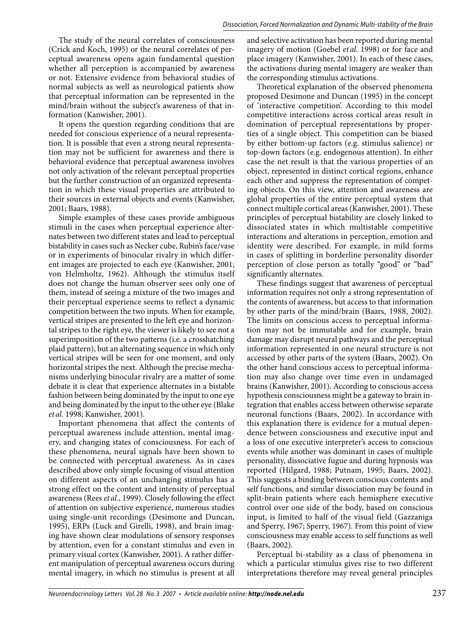The study of the neural correlates of consciousness (Crick and Koch, 1995) or the neural correlates of perceptual awareness opens again fundamental question whether all perception is accompanied by awareness or not. Extensive evidence from behavioral studies of normal subjects as well as neurological patients show that perceptual information can be represented in the mind/brain without the subject's awareness of that information (Kanwisher, 2001).

It opens the question regarding conditions that are needed for conscious experience of a neural representation. It is possible that even a strong neural representation may not be sufficient for awareness and there is behavioral evidence that perceptual awareness involves not only activation of the relevant perceptual properties but the further construction of an organized representation in which these visual properties are attributed to their sources in external objects and events (Kanwisher, 2001; Baars, 1988).

Simple examples of these cases provide ambiguous stimuli in the cases when perceptual experience alternates between two different states and lead to perceptual bistability in cases such as Necker cube, Rubin's face/vase or in experiments of binocular rivalry in which different images are projected to each eye (Kanwisher, 2001; von Helmholtz, 1962). Although the stimulus itself does not change the human observer sees only one of them, instead of seeing a mixture of the two images and their perceptual experience seems to reflect a dynamic competition between the two inputs. When for example, vertical stripes are presented to the left eye and horizontal stripes to the right eye, the viewer is likely to see not a superimposition of the two patterns (i.e. a crosshatching plaid pattern), but an alternating sequence in which only vertical stripes will be seen for one moment, and only horizontal stripes the next. Although the precise mechanisms underlying binocular rivalry are a matter of some debate it is clear that experience alternates in a bistable fashion between being dominated by the input to one eye and being dominated by the input to the other eye (Blake *et al.* 1998; Kanwisher, 2001).

Important phenomena that affect the contents of perceptual awareness include attention, mental imagery, and changing states of consciousness. For each of these phenomena, neural signals have been shown to be connected with perceptual awareness. As in cases described above only simple focusing of visual attention on different aspects of an unchanging stimulus has a strong effect on the content and intensity of perceptual awareness (Rees *et al.*, 1999). Closely following the effect of attention on subjective experience, numerous studies using single-unit recordings (Desimone and Duncan, 1995), ERPs (Luck and Girelli, 1998), and brain imaging have shown clear modulations of sensory responses by attention, even for a constant stimulus and even in primary visual cortex (Kanwisher, 2001). A rather different manipulation of perceptual awareness occurs during mental imagery, in which no stimulus is present at all

and selective activation has been reported during mental imagery of motion (Goebel *et al.* 1998) or for face and place imagery (Kanwisher, 2001). In each of these cases, the activations during mental imagery are weaker than the corresponding stimulus activations.

Theoretical explanation of the observed phenomena proposed Desimone and Duncan (1995) in the concept of 'interactive competition'. According to this model competitive interactions across cortical areas result in domination of perceptual representations by properties of a single object. This competition can be biased by either bottom-up factors (e.g. stimulus salience) or top-down factors (e.g. endogenous attention). In either case the net result is that the various properties of an object, represented in distinct cortical regions, enhance each other and suppress the representation of competing objects. On this view, attention and awareness are global properties of the entire perceptual system that connect multiple cortical areas (Kanwisher, 2001). These principles of perceptual bistability are closely linked to dissociated states in which multistable competitive interactions and alterations in perception, emotion and identity were described. For example, in mild forms in cases of splitting in borderline personality disorder perception of close person as totally "good" or "bad" significantly alternates.

These findings suggest that awareness of perceptual information requires not only a strong representation of the contents of awareness, but access to that information by other parts of the mind/brain (Baars, 1988, 2002). The limits on conscious access to perceptual information may not be immutable and for example, brain damage may disrupt neural pathways and the perceptual information represented in one neural structure is not accessed by other parts of the system (Baars, 2002). On the other hand conscious access to perceptual information may also change over time even in undamaged brains (Kanwisher, 2001). According to conscious access hypothesis consciousness might be a gateway to brain integration that enables access between otherwise separate neuronal functions (Baars, 2002). In accordance with this explanation there is evidence for a mutual dependence between consciousness and executive input and a loss of one executive interpreter's access to conscious events while another was dominant in cases of multiple personality, dissociative fugue and during hypnosis was reported (Hilgard, 1988; Putnam, 1995; Baars, 2002). This suggests a binding between conscious contents and self functions, and similar dissociation may be found in split-brain patients where each hemisphere executive control over one side of the body, based on conscious input, is limited to half of the visual field (Gazzaniga and Sperry, 1967; Sperry, 1967). From this point of view consciousness may enable access to self functions as well (Baars, 2002).

Perceptual bi-stability as a class of phenomena in which a particular stimulus gives rise to two different interpretations therefore may reveal general principles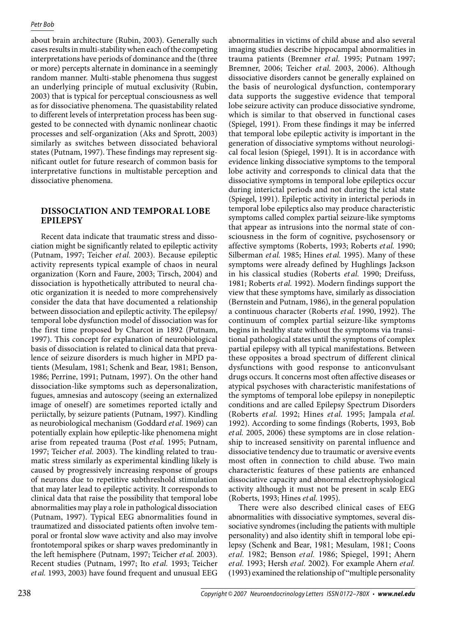about brain architecture (Rubin, 2003). Generally such cases results in multi-stability when each of the competing interpretations have periods of dominance and the (three or more) percepts alternate in dominance in a seemingly random manner. Multi-stable phenomena thus suggest an underlying principle of mutual exclusivity (Rubin, 2003) that is typical for perceptual consciousness as well as for dissociative phenomena. The quasistability related to different levels of interpretation process has been suggested to be connected with dynamic nonlinear chaotic processes and self-organization (Aks and Sprott, 2003) similarly as switches between dissociated behavioral states (Putnam, 1997). These findings may represent significant outlet for future research of common basis for interpretative functions in multistable perception and dissociative phenomena.

# **Dissociation and temporal lobe epilepsy**

Recent data indicate that traumatic stress and dissociation might be significantly related to epileptic activity (Putnam, 1997; Teicher *et al.* 2003). Because epileptic activity represents typical example of chaos in neural organization (Korn and Faure, 2003; Tirsch, 2004) and dissociation is hypothetically attributed to neural chaotic organization it is needed to more comprehensively consider the data that have documented a relationship between dissociation and epileptic activity. The epilepsy/ temporal lobe dysfunction model of dissociation was for the first time proposed by Charcot in 1892 (Putnam, 1997). This concept for explanation of neurobiological basis of dissociation is related to clinical data that prevalence of seizure disorders is much higher in MPD patients (Mesulam, 1981; Schenk and Bear, 1981; Benson, 1986; Perrine, 1991; Putnam, 1997). On the other hand dissociation-like symptoms such as depersonalization, fugues, amnesias and autoscopy (seeing an externalized image of oneself) are sometimes reported ictally and periictally, by seizure patients (Putnam, 1997). Kindling as neurobiological mechanism (Goddard *et al.* 1969) can potentially explain how epileptic-like phenomena might arise from repeated trauma (Post *et al.* 1995; Putnam, 1997; Teicher *et al.* 2003). The kindling related to traumatic stress similarly as experimental kindling likely is caused by progressively increasing response of groups of neurons due to repetitive subthreshold stimulation that may later lead to epileptic activity. It corresponds to clinical data that raise the possibility that temporal lobe abnormalities may play a role in pathological dissociation (Putnam, 1997). Typical EEG abnormalities found in traumatized and dissociated patients often involve temporal or frontal slow wave activity and also may involve frontotemporal spikes or sharp waves predominantly in the left hemisphere (Putnam, 1997; Teicher *et al.* 2003). Recent studies (Putnam, 1997; Ito *et al.* 1993; Teicher *et al.* 1993, 2003) have found frequent and unusual EEG

abnormalities in victims of child abuse and also several imaging studies describe hippocampal abnormalities in trauma patients (Bremner *et al.* 1995; Putnam 1997; Bremner, 2006; Teicher *et al.* 2003, 2006). Although dissociative disorders cannot be generally explained on the basis of neurological dysfunction, contemporary data supports the suggestive evidence that temporal lobe seizure activity can produce dissociative syndrome, which is similar to that observed in functional cases (Spiegel, 1991). From these findings it may be inferred that temporal lobe epileptic activity is important in the generation of dissociative symptoms without neurological focal lesion (Spiegel, 1991). It is in accordance with evidence linking dissociative symptoms to the temporal lobe activity and corresponds to clinical data that the dissociative symptoms in temporal lobe epileptics occur during interictal periods and not during the ictal state (Spiegel, 1991). Epileptic activity in interictal periods in temporal lobe epileptics also may produce characteristic symptoms called complex partial seizure-like symptoms that appear as intrusions into the normal state of consciousness in the form of cognitive, psychosensory or affective symptoms (Roberts, 1993; Roberts *et al.* 1990; Silberman *et al.* 1985; Hines *et al.* 1995). Many of these symptoms were already defined by Hughlings Jackson in his classical studies (Roberts *et al.* 1990; Dreifuss, 1981; Roberts *et al.* 1992). Modern findings support the view that these symptoms have, similarly as dissociation (Bernstein and Putnam, 1986), in the general population a continuous character (Roberts *et al.* 1990, 1992). The continuum of complex partial seizure-like symptoms begins in healthy state without the symptoms via transitional pathological states until the symptoms of complex partial epilepsy with all typical manifestations. Between these opposites a broad spectrum of different clinical dysfunctions with good response to anticonvulsant drugs occurs. It concerns most often affective diseases or atypical psychoses with characteristic manifestations of the symptoms of temporal lobe epilepsy in nonepileptic conditions and are called Epilepsy Spectrum Disorders (Roberts *et al.* 1992; Hines *et al.* 1995; Jampala *et al.* 1992). According to some findings (Roberts, 1993, Bob *et al.* 2005, 2006) these symptoms are in close relationship to increased sensitivity on parental influence and dissociative tendency due to traumatic or aversive events most often in connection to child abuse. Two main characteristic features of these patients are enhanced dissociative capacity and abnormal electrophysiological activity although it must not be present in scalp EEG (Roberts, 1993; Hines *et al.* 1995).

There were also described clinical cases of EEG abnormalities with dissociative symptomes, several dissociative syndromes (including the patients with multiple personality) and also identity shift in temporal lobe epilepsy (Schenk and Bear, 1981; Mesulam, 1981; Coons *et al.* 1982; Benson *et al.* 1986; Spiegel, 1991; Ahern *et al.* 1993; Hersh *et al.* 2002). For example Ahern *et al.* (1993) examined the relationship of "multiple personality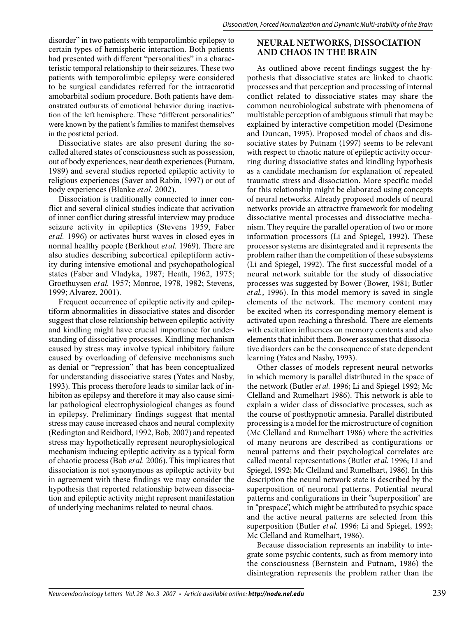disorder" in two patients with temporolimbic epilepsy to certain types of hemispheric interaction. Both patients had presented with different "personalities" in a characteristic temporal relationship to their seizures. These two patients with temporolimbic epilepsy were considered to be surgical candidates referred for the intracarotid amobarbital sodium procedure. Both patients have demonstrated outbursts of emotional behavior during inactivation of the left hemisphere. These "different personalities" were known by the patient's families to manifest themselves in the postictal period.

Dissociative states are also present during the socalled altered states of consciousness such as possession, out of body experiences, near death experiences (Putnam, 1989) and several studies reported epileptic activity to religious experiences (Saver and Rabin, 1997) or out of body experiences (Blanke *et al.* 2002).

Dissociation is traditionally connected to inner conflict and several clinical studies indicate that activation of inner conflict during stressful interview may produce seizure activity in epileptics (Stevens 1959, Faber *et al.* 1996) or activates burst waves in closed eyes in normal healthy people (Berkhout *et al.* 1969). There are also studies describing subcortical epileptiform activity during intensive emotional and psychopathological states (Faber and Vladyka, 1987; Heath, 1962, 1975; Groethuysen *et al.* 1957; Monroe, 1978, 1982; Stevens, 1999; Alvarez, 2001).

Frequent occurrence of epileptic activity and epileptiform abnormalities in dissociative states and disorder suggest that close relationship between epileptic activity and kindling might have crucial importance for understanding of dissociative processes. Kindling mechanism caused by stress may involve typical inhibitory failure caused by overloading of defensive mechanisms such as denial or "repression" that has been conceptualized for understanding dissociative states (Yates and Nasby, 1993). This process therofore leads to similar lack of inhibiton as epilepsy and therefore it may also cause similar pathological electrophysiological changes as found in epilepsy. Preliminary findings suggest that mental stress may cause increased chaos and neural complexity (Redington and Reidbord, 1992, Bob, 2007) and repeated stress may hypothetically represent neurophysiological mechanism inducing epileptic activity as a typical form of chaotic process (Bob *et al.* 2006). This implicates that dissociation is not synonymous as epileptic activity but in agreement with these findings we may consider the hypothesis that reported relationship between dissociation and epileptic activity might represent manifestation of underlying mechanims related to neural chaos.

# **Neural networks, dissociation and chaos in the brain**

As outlined above recent findings suggest the hypothesis that dissociative states are linked to chaotic processes and that perception and processing of internal conflict related to dissociative states may share the common neurobiological substrate with phenomena of multistable perception of ambiguous stimuli that may be explained by interactive competition model (Desimone and Duncan, 1995). Proposed model of chaos and dissociative states by Putnam (1997) seems to be relevant with respect to chaotic nature of epileptic activity occurring during dissociative states and kindling hypothesis as a candidate mechanism for explanation of repeated traumatic stress and dissociation. More specific model for this relationship might be elaborated using concepts of neural networks. Already proposed models of neural networks provide an attractive framework for modeling dissociative mental processes and dissociative mechanism. They require the parallel operation of two or more information processors (Li and Spiegel, 1992). These processor systems are disintegrated and it represents the problem rather than the competition of these subsystems (Li and Spiegel, 1992). The first successful model of a neural network suitable for the study of dissociative processes was suggested by Bower (Bower, 1981; Butler *et al.*, 1996). In this model memory is saved in single elements of the network. The memory content may be excited when its corresponding memory element is activated upon reaching a threshold. There are elements with excitation influences on memory contents and also elements that inhibit them. Bower assumes that dissociative disorders can be the consequence of state dependent learning (Yates and Nasby, 1993).

Other classes of models represent neural networks in which memory is parallel distributed in the space of the network (Butler *et al.* 1996; Li and Spiegel 1992; Mc Clelland and Rumelhart 1986). This network is able to explain a wider class of dissociative processes, such as the course of posthypnotic amnesia. Parallel distributed processing is a model for the microstructure of cognition (Mc Clelland and Rumelhart 1986) where the activities of many neurons are described as configurations or neural patterns and their psychological correlates are called mental representations (Butler *et al.* 1996; Li and Spiegel, 1992; Mc Clelland and Rumelhart, 1986). In this description the neural network state is described by the superposition of neuronal patterns. Potiential neural patterns and configurations in their "superposition" are in "prespace", which might be attributed to psychic space and the active neural patterns are selected from this superposition (Butler *et al.* 1996; Li and Spiegel, 1992; Mc Clelland and Rumelhart, 1986).

Because dissociation represents an inability to integrate some psychic contents, such as from memory into the consciousness (Bernstein and Putnam, 1986) the disintegration represents the problem rather than the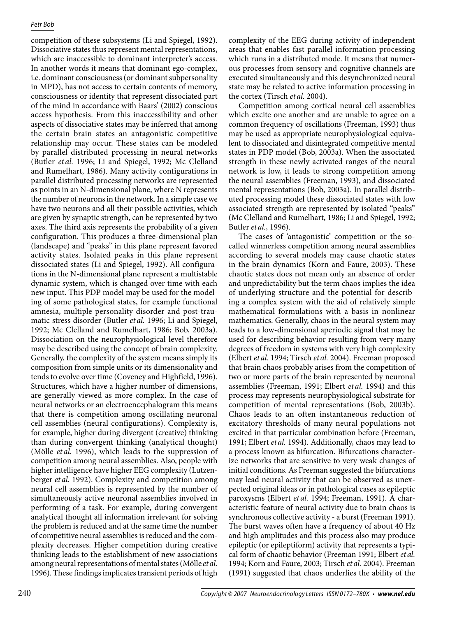competition of these subsystems (Li and Spiegel, 1992). Dissociative states thus represent mental representations, which are inaccessible to dominant interpreter's access. In another words it means that dominant ego-complex, i.e. dominant consciousness (or dominant subpersonality in MPD), has not access to certain contents of memory, consciousness or identity that represent dissociated part of the mind in accordance with Baars' (2002) conscious access hypothesis. From this inaccessibility and other aspects of dissociative states may be inferred that among the certain brain states an antagonistic competitive relationship may occur. These states can be modeled by parallel distributed processing in neural networks (Butler *et al.* 1996; Li and Spiegel, 1992; Mc Clelland and Rumelhart, 1986). Many activity configurations in parallel distributed processing networks are represented as points in an N-dimensional plane, where N represents the number of neurons in the network. In a simple case we have two neurons and all their possible activities, which are given by synaptic strength, can be represented by two axes. The third axis represents the probability of a given configuration. This produces a three-dimensional plan (landscape) and "peaks" in this plane represent favored activity states. Isolated peaks in this plane represent dissociated states (Li and Spiegel, 1992). All configurations in the N-dimensional plane represent a multistable dynamic system, which is changed over time with each new input. This PDP model may be used for the modeling of some pathological states, for example functional amnesia, multiple personality disorder and post-traumatic stress disorder (Butler *et al.* 1996; Li and Spiegel, 1992; Mc Clelland and Rumelhart, 1986; Bob, 2003a). Dissociation on the neurophysiological level therefore may be described using the concept of brain complexity. Generally, the complexity of the system means simply its composition from simple units or its dimensionality and tends to evolve over time (Coveney and Highfield, 1996). Structures, which have a higher number of dimensions, are generally viewed as more complex. In the case of neural networks or an electroencephalogram this means that there is competition among oscillating neuronal cell assemblies (neural configurations). Complexity is, for example, higher during divergent (creative) thinking than during convergent thinking (analytical thought) (Mölle *et al.* 1996), which leads to the suppression of competition among neural assemblies. Also, people with higher intelligence have higher EEG complexity (Lutzenberger *et al.* 1992). Complexity and competition among neural cell assemblies is represented by the number of simultaneously active neuronal assemblies involved in performing of a task. For example, during convergent analytical thought all information irrelevant for solving the problem is reduced and at the same time the number of competitive neural assemblies is reduced and the complexity decreases. Higher competition during creative thinking leads to the establishment of new associations among neural representations of mental states (Mölle *etal.* 1996). These findings implicates transient periods of high

complexity of the EEG during activity of independent areas that enables fast parallel information processing which runs in a distributed mode. It means that numerous processes from sensory and cognitive channels are executed simultaneously and this desynchronized neural state may be related to active information processing in the cortex (Tirsch *et al.* 2004).

Competition among cortical neural cell assemblies which excite one another and are unable to agree on a common frequency of oscillations (Freeman, 1993) thus may be used as appropriate neurophysiological equivalent to dissociated and disintegrated competitive mental states in PDP model (Bob, 2003a). When the associated strength in these newly activated ranges of the neural network is low, it leads to strong competition among the neural assemblies (Freeman, 1993), and dissociated mental representations (Bob, 2003a). In parallel distributed processing model these dissociated states with low associated strength are represented by isolated "peaks" (Mc Clelland and Rumelhart, 1986; Li and Spiegel, 1992; Butler *et al.*, 1996).

The cases of 'antagonistic' competition or the socalled winnerless competition among neural assemblies according to several models may cause chaotic states in the brain dynamics (Korn and Faure, 2003). These chaotic states does not mean only an absence of order and unpredictability but the term chaos implies the idea of underlying structure and the potential for describing a complex system with the aid of relatively simple mathematical formulations with a basis in nonlinear mathematics. Generally, chaos in the neural system may leads to a low-dimensional aperiodic signal that may be used for describing behavior resulting from very many degrees of freedom in systems with very high complexity (Elbert *et al.* 1994; Tirsch *et al.* 2004). Freeman proposed that brain chaos probably arises from the competition of two or more parts of the brain represented by neuronal assemblies (Freeman, 1991; Elbert *et al.* 1994) and this process may represents neurophysiological substrate for competition of mental representations (Bob, 2003b). Chaos leads to an often instantaneous reduction of excitatory thresholds of many neural populations not excited in that particular combination before (Freeman, 1991; Elbert *et al.* 1994). Additionally, chaos may lead to a process known as bifurcation. Bifurcations characterize networks that are sensitive to very weak changes of initial conditions. As Freeman suggested the bifurcations may lead neural activity that can be observed as unexpected original ideas or in pathological cases as epileptic paroxysms (Elbert *et al.* 1994; Freeman, 1991). A characteristic feature of neural activity due to brain chaos is synchronous collective activity - a burst (Freeman 1991). The burst waves often have a frequency of about 40 Hz and high amplitudes and this process also may produce epileptic (or epileptiform) activity that represents a typical form of chaotic behavior (Freeman 1991; Elbert *et al.* 1994; Korn and Faure, 2003; Tirsch *et al.* 2004). Freeman (1991) suggested that chaos underlies the ability of the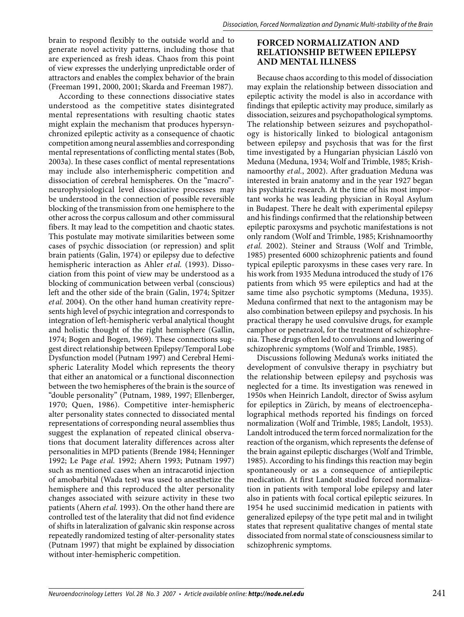brain to respond flexibly to the outside world and to generate novel activity patterns, including those that are experienced as fresh ideas. Chaos from this point of view expresses the underlying unpredictable order of attractors and enables the complex behavior of the brain (Freeman 1991, 2000, 2001; Skarda and Freeman 1987).

According to these connections dissociative states understood as the competitive states disintegrated mental representations with resulting chaotic states might explain the mechanism that produces hypersynchronized epileptic activity as a consequence of chaotic competition among neural assemblies and corresponding mental representations of conflicting mental states (Bob, 2003a). In these cases conflict of mental representations may include also interhemispheric competition and dissociation of cerebral hemispheres. On the "macro" neurophysiological level dissociative processes may be understood in the connection of possible reversible blocking of the transmission from one hemisphere to the other across the corpus callosum and other commissural fibers. It may lead to the competition and chaotic states. This postulate may motivate similarities between some cases of psychic dissociation (or repression) and split brain patients (Galin, 1974) or epilepsy due to defective hemispheric interaction as Ahler *et al.* (1993). Dissociation from this point of view may be understood as a blocking of communication between verbal (conscious) left and the other side of the brain (Galin, 1974; Spitzer *et al.* 2004). On the other hand human creativity represents high level of psychic integration and corresponds to integration of left-hemispheric verbal analytical thought and holistic thought of the right hemisphere (Gallin, 1974; Bogen and Bogen, 1969). These connections suggest direct relationship between Epilepsy/Temporal Lobe Dysfunction model (Putnam 1997) and Cerebral Hemispheric Laterality Model which represents the theory that either an anatomical or a functional disconnection between the two hemispheres of the brain is the source of "double personality" (Putnam, 1989, 1997; Ellenberger, 1970; Quen, 1986). Competitive inter-hemispheric alter personality states connected to dissociated mental representations of corresponding neural assemblies thus suggest the explanation of repeated clinical observations that document laterality differences across alter personalities in MPD patients (Brende 1984; Henninger 1992; Le Page *et al.* 1992; Ahern 1993; Putnam 1997) such as mentioned cases when an intracarotid injection of amobarbital (Wada test) was used to anesthetize the hemisphere and this reproduced the alter personality changes associated with seizure activity in these two patients (Ahern *et al.* 1993). On the other hand there are controlled test of the laterality that did not find evidence of shifts in lateralization of galvanic skin response across repeatedly randomized testing of alter-personality states (Putnam 1997) that might be explained by dissociation without inter-hemispheric competition.

# **Forced normalization and relationship between epilepsy and mental illness**

Because chaos according to this model of dissociation may explain the relationship between dissociation and epileptic activity the model is also in accordance with findings that epileptic activity may produce, similarly as dissociation, seizures and psychopathological symptoms. The relationship between seizures and psychopathology is historically linked to biological antagonism between epilepsy and psychosis that was for the first time investigated by a Hungarian physician László von Meduna (Meduna, 1934; Wolf and Trimble, 1985; Krishnamoorthy *et al.*, 2002). After graduation Meduna was interested in brain anatomy and in the year 1927 began his psychiatric research. At the time of his most important works he was leading physician in Royal Asylum in Budapest. There he dealt with experimental epilepsy and his findings confirmed that the relationship between epileptic paroxysms and psychotic manifestations is not only random (Wolf and Trimble, 1985; Krishnamoorthy *et al.* 2002). Steiner and Strauss (Wolf and Trimble, 1985) presented 6000 schizophrenic patients and found typical epileptic paroxysms in these cases very rare. In his work from 1935 Meduna introduced the study of 176 patients from which 95 were epileptics and had at the same time also psychotic symptoms (Meduna, 1935). Meduna confirmed that next to the antagonism may be also combination between epilepsy and psychosis. In his practical therapy he used convulsive drugs, for example camphor or penetrazol, for the treatment of schizophrenia. These drugs often led to convulsions and lowering of schizophrenic symptoms (Wolf and Trimble, 1985).

Discussions following Meduna's works initiated the development of convulsive therapy in psychiatry but the relationship between epilepsy and psychosis was neglected for a time. Its investigation was renewed in 1950s when Heinrich Landolt, director of Swiss asylum for epileptics in Zürich, by means of electroencephalographical methods reported his findings on forced normalization (Wolf and Trimble, 1985; Landolt, 1953). Landolt introduced the term forced normalization for the reaction of the organism, which represents the defense of the brain against epileptic discharges (Wolf and Trimble, 1985). According to his findings this reaction may begin spontaneously or as a consequence of antiepileptic medication. At first Landolt studied forced normalization in patients with temporal lobe epilepsy and later also in patients with focal cortical epileptic seizures. In 1954 he used succinimid medication in patients with generalized epilepsy of the type petit mal and in twilight states that represent qualitative changes of mental state dissociated from normal state of consciousness similar to schizophrenic symptoms.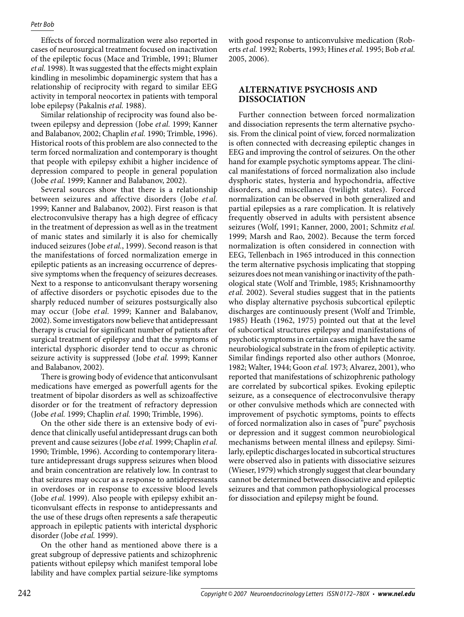Effects of forced normalization were also reported in cases of neurosurgical treatment focused on inactivation of the epileptic focus (Mace and Trimble, 1991; Blumer *et al.* 1998). It was suggested that the effects might explain kindling in mesolimbic dopaminergic system that has a relationship of reciprocity with regard to similar EEG activity in temporal neocortex in patients with temporal lobe epilepsy (Pakalnis *et al.* 1988).

Similar relationship of reciprocity was found also between epilepsy and depression (Jobe *et al.* 1999; Kanner and Balabanov, 2002; Chaplin *et al.* 1990; Trimble, 1996). Historical roots of this problem are also connected to the term forced normalization and contemporary is thought that people with epilepsy exhibit a higher incidence of depression compared to people in general population (Jobe *et al.* 1999; Kanner and Balabanov, 2002).

Several sources show that there is a relationship between seizures and affective disorders (Jobe *et al.* 1999; Kanner and Balabanov, 2002). First reason is that electroconvulsive therapy has a high degree of efficacy in the treatment of depression as well as in the treatment of manic states and similarly it is also for chemically induced seizures (Jobe *et al.*, 1999). Second reason is that the manifestations of forced normalization emerge in epileptic patients as an increasing occurrence of depressive symptoms when the frequency of seizures decreases. Next to a response to anticonvulsant therapy worsening of affective disorders or psychotic episodes due to the sharply reduced number of seizures postsurgically also may occur (Jobe *et al.* 1999; Kanner and Balabanov, 2002). Some investigators now believe that antidepressant therapy is crucial for significant number of patients after surgical treatment of epilepsy and that the symptoms of interictal dysphoric disorder tend to occur as chronic seizure activity is suppressed (Jobe *et al.* 1999; Kanner and Balabanov, 2002).

There is growing body of evidence that anticonvulsant medications have emerged as powerfull agents for the treatment of bipolar disorders as well as schizoaffective disorder or for the treatment of refractory depression (Jobe *et al.* 1999; Chaplin *et al.* 1990; Trimble, 1996).

On the other side there is an extensive body of evidence that clinically useful antidepressant drugs can both prevent and cause seizures (Jobe *et al.* 1999; Chaplin *et al.* 1990; Trimble, 1996). According to contemporary literature antidepressant drugs suppress seizures when blood and brain concentration are relatively low. In contrast to that seizures may occur as a response to antidepressants in overdoses or in response to excessive blood levels (Jobe *et al.* 1999). Also people with epilepsy exhibit anticonvulsant effects in response to antidepressants and the use of these drugs often represents a safe therapeutic approach in epileptic patients with interictal dysphoric disorder (Jobe *et al.* 1999).

On the other hand as mentioned above there is a great subgroup of depressive patients and schizophrenic patients without epilepsy which manifest temporal lobe lability and have complex partial seizure-like symptoms with good response to anticonvulsive medication (Roberts *et al.* 1992; Roberts, 1993; Hines *et al.* 1995; Bob *et al.* 2005, 2006).

# **Alternative psychosis and dissociation**

Further connection between forced normalization and dissociation represents the term alternative psychosis. From the clinical point of view, forced normalization is often connected with decreasing epileptic changes in EEG and improving the control of seizures. On the other hand for example psychotic symptoms appear. The clinical manifestations of forced normalization also include dysphoric states, hysteria and hypochondria, affective disorders, and miscellanea (twilight states). Forced normalization can be observed in both generalized and partial epilepsies as a rare complication. It is relatively frequently observed in adults with persistent absence seizures (Wolf, 1991; Kanner, 2000, 2001; Schmitz *et al.* 1999; Marsh and Rao, 2002). Because the term forced normalization is often considered in connection with EEG, Tellenbach in 1965 introduced in this connection the term alternative psychosis implicating that stopping seizures does not mean vanishing or inactivity of the pathological state (Wolf and Trimble, 1985; Krishnamoorthy *et al.* 2002). Several studies suggest that in the patients who display alternative psychosis subcortical epileptic discharges are continuously present (Wolf and Trimble, 1985) Heath (1962, 1975) pointed out that at the level of subcortical structures epilepsy and manifestations of psychotic symptoms in certain cases might have the same neurobiological substrate in the from of epileptic activity. Similar findings reported also other authors (Monroe, 1982; Walter, 1944; Goon *et al.* 1973; Alvarez, 2001), who reported that manifestations of schizophrenic pathology are correlated by subcortical spikes. Evoking epileptic seizure, as a consequence of electroconvulsive therapy or other convulsive methods which are connected with improvement of psychotic symptoms, points to effects of forced normalization also in cases of "pure" psychosis or depression and it suggest common neurobiological mechanisms between mental illness and epilepsy. Similarly, epileptic discharges located in subcortical structures were observed also in patients with dissociative seizures (Wieser, 1979) which strongly suggest that clear boundary cannot be determined between dissociative and epileptic seizures and that common pathophysiological processes for dissociation and epilepsy might be found.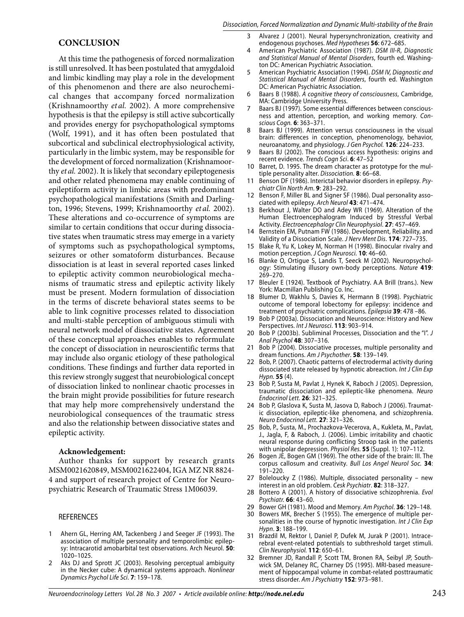### **Conclusion**

At this time the pathogenesis of forced normalization is still unresolved. It has been postulated that amygdaloid and limbic kindling may play a role in the development of this phenomenon and there are also neurochemical changes that accompany forced normalization (Krishnamoorthy *et al.* 2002). A more comprehensive hypothesis is that the epilepsy is still active subcortically and provides energy for psychopathological symptoms (Wolf, 1991), and it has often been postulated that subcortical and subclinical electrophysiological activity, particularly in the limbic system, may be responsible for the development of forced normalization (Krishnamoorthy *et al.* 2002). It is likely that secondary epileptogenesis and other related phenomena may enable continuing of epileptiform activity in limbic areas with predominant psychopathological manifestations (Smith and Darlington, 1996; Stevens, 1999; Krishnamoorthy *et al.* 2002). These alterations and co-occurrence of symptoms are similar to certain conditions that occur during dissociative states when traumatic stress may emerge in a variety of symptoms such as psychopathological symptoms, seizures or other somatoform disturbances. Because dissociation is at least in several reported cases linked to epileptic activity common neurobiological mechanisms of traumatic stress and epileptic activity likely must be present. Modern formulation of dissociation in the terms of discrete behavioral states seems to be able to link cognitive processes related to dissociation and multi-stable perception of ambiguous stimuli with neural network model of dissociative states. Agreement of these conceptual approaches enables to reformulate the concept of dissociation in neuroscientific terms that may include also organic etiology of these pathological conditions. These findings and further data reported in this review strongly suggest that neurobiological concept of dissociation linked to nonlinear chaotic processes in the brain might provide possibilities for future research that may help more comprehensively understand the neurobiological consequences of the traumatic stress and also the relationship between dissociative states and epileptic activity.

#### **Acknowledgement:**

Author thanks for support by research grants MSM0021620849, MSM0021622404, IGA MZ NR 8824- 4 and support of research project of Centre for Neuropsychiatric Research of Traumatic Stress 1M06039.

#### **REFERENCES**

- Ahern GL, Herring AM, Tackenberg J and Seeger JF (1993). The association of multiple personality and temporolimbic epilepsy: Intracarotid amobarbital test observations. Arch Neurol. **50**: 1020–1025. 1
- Aks DJ and Sprott JC (2003). Resolving perceptual ambiguity in the Necker cube: A dynamical systems approach. *Nonlinear Dynamics Psychol Life Sci.* **7**: 159–178*.* 2
- Alvarez J (2001). Neural hypersynchronization, creativity and endogenous psychoses. *Med Hypotheses* **56**: 672–685. 3
- American Psychiatric Association (1987). *DSM III-R*, *Diagnostic and Statistical Manual of Mental Disorders*, fourth ed. Washington DC: American Psychiatric Association. 4
- American Psychiatric Association (1994). *DSM IV, Diagnostic and Statistical Manual of Mental Disorders*, fourth ed. Washington DC: American Psychiatric Association. 5
- Baars B (1988). *A cognitive theory of consciousness*, Cambridge, MA: Cambridge University Press. 6
- Baars BJ (1997). Some essential differences between consciousness and attention, perception, and working memory. *Conscious Cogn.* **6**: 363–371. 7
- Baars BJ (1999). Attention versus consciousness in the visual brain: differences in conception, phenomenology, behavior, neuroanatomy, and physiology. *J Gen Psychol.* **126**: 224–233. 8
- Baars BJ (2002). The conscious access hypothesis: origins and recent evidence. *Trends Cogn Sci*. **6**: 47–52 9
- Barret, D. 1995. The dream character as prototype for the multiple personality alter. *Dissociation.* **8**: 66–68. 10
- Benson DF (1986). Interictal behavior disorders in epilepsy. *Psychiatr Clin North Am*. **9**: 283–292. 11
- 12 Benson F, Miller BL and Signer SF (1986). Dual personality associated with epilepsy. *Arch Neurol* **43**: 471–474.
- 13 Berkhout J, Walter DO and Adey WR (1969). Alteration of the Human Electroencephalogram Induced by Stressful Verbal Activity. *Electroencephalogr Clin Neurophysiol*. **27**: 457–469.
- Bernstein EM, Putnam FW (1986). Development, Reliability, and Validity of a Dissociation Scale. *J Nerv Ment Dis*. **174**: 727–735.  $14$
- Blake R, Yu K, Lokey M, Norman H (1998). Binocular rivalry and motion perception. *J Cogn Neurosci.* **10**: 46–60. 15
- Blanke O, Ortigue S, Landis T, Seeck M (2002). Neuropsychology: Stimulating illusory own-body perceptions. *Nature* **419**: 269–270. 16
- 17 Bleuler E (1924). Textbook of Psychiatry. A.A Brill (trans.). New York: Macmillan Publishing Co. Inc.
- Blumer D, Wakhlu S, Davies K, Hermann B (1998). Psychiatric outcome of temporal lobectomy for epilepsy: incidence and treatment of psychiatric complications. *Epilepsia* **39**: 478 –86. 18
- 19 Bob P (2003a). Dissociation and Neuroscience: History and New Perspectives. *Int J Neurosci*. **113**: 903–914.
- Bob P (2003b). Subliminal Processes, Dissociation and the "I". *J Anal Psychol* **48**: 307–316. 20
- 21 Bob P (2004). Dissociative processes, multiple personality and dream functions. *Am J Psychother*. **58**: 139–149.
- Bob, P. (2007). Chaotic patterns of electrodermal activity during dissociated state released by hypnotic abreaction. *Int J Clin Exp Hypn.* **55** (4). 22
- 23 Bob P, Susta M, Pavlat J, Hynek K, Raboch J (2005). Depression, traumatic dissociation and epileptic-like phenomena. *Neuro Endocrinol Lett.* **26**: 321–325.
- 24 Bob P, Glaslova K, Susta M, Jasova D, Raboch J (2006). Traumatic dissociation, epileptic-like phenomena, and schizophrenia. *Neuro Endocrinol Lett.* **27**: 321–326.
- Bob, P., Susta, M., Prochazkova-Vecerova, A., Kukleta, M., Pavlat, J., Jagla, F, & Raboch, J. (2006). Limbic irritability and chaotic neural response during conflicting Stroop task in the patients with unipolar depression. *Physiol Res.* **55** (Suppl. 1): 107–112. 25
- 26 Bogen JE, Bogen GM (1969). The other side of the brain: III. The corpus callosum and creativity. *Bull Los Angel Neurol Soc.* **34**: 191–220.
- Boleloucky Z (1986). Multiple, dissociated personality new interest in an old problem. *Cesk Psychiatr*. **82**: 318–327. 27
- 28 Bottero A (2001). A history of dissociative schizophrenia. *Evol Psychiatr.* **66**: 43–60.
- Bower GH (1981). Mood and Memory. *Am Psychol*. **36**: 129–148. 29
- 30 Bowers MK, Brecher S (1955). The emergence of multiple personalities in the course of hypnotic investigation. *Int J Clin Exp Hypn*. **3**: 188–199.
- Brazdil M, Rektor I, Daniel P, Dufek M, Jurak P (2001). Intracerebral event-related potentials to subthreshold target stimuli. *Clin Neurophysiol.* **112**: 650–61. 31
- 32 Bremner JD, Randall P, Scott TM, Bronen RA, Seibyl JP, Southwick SM, Delaney RC, Charney DS (1995). MRI-based measurement of hippocampal volume in combat-related posttraumatic stress disorder. *Am J Psychiatry* **152**: 973–981.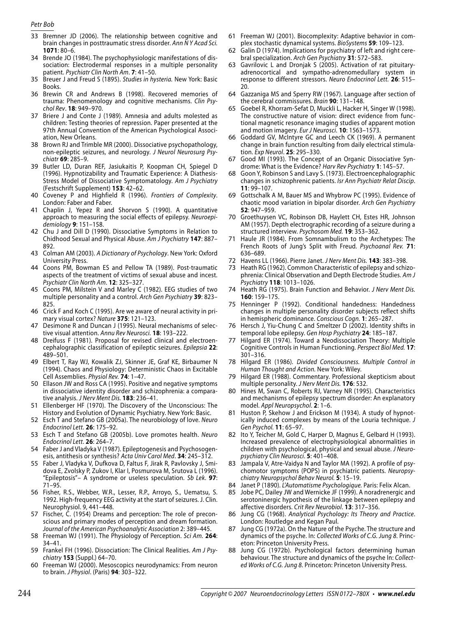- 33 Bremner JD (2006). The relationship between cognitive and brain changes in posttraumatic stress disorder. *Ann N Y Acad Sci.* **1071**: 80–6.
- Brende JO (1984). The psychophysiologic manifestations of dissociation: Electrodermal responses in a multiple personality patient. *Psychiatr Clin North Am*. **7**: 41–50. 34
- Breuer J and Freud S (1895). *Studies in hysteria.* New York: Basic Books. 35
- 36 Brewin CR and Andrews B (1998). Recovered memories of trauma: Phenomenology and cognitive mechanisms. *Clin Psychol Rev*. **18**: 949–970.
- 37 Briere J and Conte J (1989). Amnesia and adults molested as children: Testing theories of repression. Paper presented at the 97th Annual Convention of the American Psychological Association, New Orleans.
- 38 Brown RJ and Trimble MR (2000). Dissociative psychopathology, non-epileptic seizures, and neurology. *J Neurol Neurosurg Psychiatr* **69**: 285–9.
- 39 Butler LD, Duran REF, Jasiukaitis P, Koopman CH, Spiegel D (1996). Hypnotizability and Traumatic Experience: A Diathesis-Stress Model of Dissociative Symptomatology. *Am J Psychiatry* (Festschrift Supplement) **153**: 42–62.
- Coveney P and Highfield R (1996). *Frontiers of Complexity*. 40 London: Faber and Faber.
- Chaplin J, Yepez R and Shorvon S (1990). A quantitative 41 approach to measuring the social effects of epilepsy. *Neuroepidemiology* **9**: 151–158.
- 42 Chu J and Dill D (1990). Dissociative Symptoms in Relation to Chidhood Sexual and Physical Abuse. *Am J Psychiatry* **147**: 887– 892.
- Colman AM (2003). *A Dictionary of Psychology*. New York: Oxford 43 University Press.
- 44 Coons PM, Bowman ES and Pellow TA (1989). Post-traumatic aspects of the treatment of victims of sexual abuse and incest. *Psychiatr Clin North Am*. **12**: 325–327.
- 45 Coons PM, Milstein V and Marley C (1982). EEG studies of two multiple personality and a control. *Arch Gen Psychiatry* **39**: 823– 825.
- 46 Crick F and Koch C (1995). Are we aware of neural activity in primary visual cortex? *Nature* **375**: 121–123.
- Desimone R and Duncan J (1995). Neural mechanisms of selective visual attention. *Annu Rev Neurosci.* **18**: 193–222. 47
- 48 Dreifuss F (1981). Proposal for revised clinical and electroencephalographic classification of epileptic seizures. *Epilepsia* **22**: 489–501.
- Elbert T, Ray WJ, Kowalik ZJ, Skinner JE, Graf KE, Birbaumer N 49 (1994). Chaos and Physiology: Deterministic Chaos in Excitable Cell Assemblies. *Physiol Rev.* **74**: 1–47.
- 50 Ellason JW and Ross CA (1995). Positive and negative symptoms in dissociative identity disorder and schizophrenia: a comparative analysis. *J Nerv Ment Dis.* **183**: 236–41.
- 51 Ellenberger HF (1970). The Discovery of the Unconscious: The History and Evolution of Dynamic Psychiatry. New York: Basic.
- Esch T and Stefano GB (2005a). The neurobiology of love. *Neuro*  52 *Endocrinol Lett.* **26**: 175–92.
- Esch T and Stefano GB (2005b). Love promotes health. *Neuro*  53 *Endocrinol Lett*. **26**: 264–7.
- 54 Faber J and Vladyka V (1987). Epileptogenesis and Psychosogenesis, antithesis or synthesis? *Acta Univ Carol Med*. **34**: 245–312.
- 55 Faber J, Vladyka V, Dufkova D, Faltus F, Jirak R, Pavlovsky J, Smidova E, Zvolsky P, Zukov I, Klar I, Posmurova M, Srutova L (1996). "Epileptosis"– A syndrome or useless speculation. *Sb Lek*. **97**: 71–95.
- 56 Fisher, R.S., Webber, W.R., Lesser, R.P., Arroyo, S., Uematsu, S. 1992. High-frequency EEG activity at the start of seizures. J. Clin. Neurophysiol. 9, 441–448.
- 57 Fischer, C. (1954) Dreams and perception: The role of preconscious and primary modes of perception and dream formation. *Journal of the American Psychoanalytic Association* 2: 389–445.
- 58 Freeman WJ (1991). The Physiology of Perception. Sci Am. 264: 34–41.
- Frankel FH (1996). Dissociation: The Clinical Realities. *Am J Psychiatry* **153** (Suppl.) 64–70. 59
- Freeman WJ (2000). Mesoscopics neurodynamics: From neuron to brain. *J Physiol*. (Paris) **94**: 303–322. 60
- 61 Freeman WJ (2001). Biocomplexity: Adaptive behavior in complex stochastic dynamical systems. *BioSystems* **59**: 109–123.
- Galin D (1974). Implications for psychiatry of left and right cerebral specialization. *Arch Gen Psychiatry* **31**: 572–583. 62
- Gavrilovic L and Dronjak S (2005). Activation of rat pituitary-63 adrenocortical and sympatho-adrenomedullary system in response to different stressors. *Neuro Endocrinol Lett.* **26**: 515– 20.
- Gazzaniga MS and Sperry RW (1967). Language after section of the cerebral commissures. *Brain* **90**: 131–148. 64
- Goebel R, Khorram-Sefat D, Muckli L, Hacker H, Singer W (1998). The constructive nature of vision: direct evidence from functional magnetic resonance imaging studies of apparent motion and motion imagery. *Eur J Neurosci.* **10**: 1563–1573. 65
- Goddard GV, McIntyre GC and Leech CK (1969). A permanent change in brain function resulting from daily electrical stimulation. *Exp Neurol*. **25**: 295–330. 66
- 67 Good MI (1993). The Concept of an Organic Dissociative Syndrome: What is the Evidence? *Harv Rev Psychiatry* **1**: 145–57.
- Goon Y, Robinson S and Lavy S. (1973). Electroencephalographic changes in schizophrenic patients. *Isr Ann Psychiatr Relat Discip*. **11**: 99–107. 68
- Gottschalk A M, Bauer MS and Whybrow PC (1995). Evidence of chaotic mood variation in bipolar disorder. *Arch Gen Psychiatry* **52**: 947–959. 69
- Groethuysen VC, Robinson DB, Haylett CH, Estes HR, Johnson 70 AM (1957). Depth electrographic recording of a seizure during a structured interview. *Psychosom Med.* **19**: 353–362.
- Haule JR (1984). From Somnambulism to the Archetypes: The French Roots of Jung's Split with Freud. *Psychoanal Rev.* **71**: 636–689. 71
- Havens LL (1966). Pierre Janet. *J Nerv Ment Dis.* **143**: 383–398. 72
- 73 Heath RG (1962). Common Characteristic of epilepsy and schizophrenia: Clinical Observation and Depth Electrode Studies. *Am J Psychiatry* **118**: 1013–1026.
- 74 Heath RG (1975). Brain Function and Behavior. *J Nerv Ment Dis.* **160**: 159–175.
- Henninger P (1992). Conditional handedness: Handedness changes in multiple personality disorder subjects reflect shifts in hemispheric dominance. *Conscious Cogn.* **1**: 265–287. 75
- 76 Hersch J, Yiu-Chung C and Smeltzer D (2002). Identity shifts in temporal lobe epilepsy. *Gen Hosp Psychiatry* **24**: 185–187.
- 77 Hilgard ER (1974). Toward a Neodissociation Theory: Multiple Cognitive Controls in Human Functioning. *Perspect Biol Med.* **17**: 301–316.
- Hilgard ER (1986). *Divided Consciousness. Multiple Control in Human Thought and Action.* New York: Wiley. 78
- Hilgard ER (1988). Commentary. Professional skepticism about multiple personality. *J Nerv Ment Dis.* **176**: 532. 79
- 80 Hines M, Swan C, Roberts RJ, Varney NR (1995). Characteristics and mechanisms of epilepsy spectrum disorder: An explanatory model. *Appl Neuropsychol*. **2**: 1–6.
- 81 Huston P, Skehow J and Erickson M (1934). A study of hypnotically induced complexes by means of the Louria technique. *J Gen Psychol.* **11**: 65–97.
- 82 Ito Y, Teicher M, Gold C, Harper D, Magnus E, Gelbard H (1993). Increased prevalence of electrophysiological abnormalities in children with psychological, physical and sexual abuse. *J Neuropsychiatry Clin Neurosci*. **5**: 401–408.
- Jampala V, Atre-Vaidya N and Taylor MA (1992). A profile of psy-83 chomotor symptoms (POPS) in psychiatric patients. *Neuropsychiatry Neuropsychol Behav Neurol.* **5**: 15–19.
- Janet P (1890). *L'Automatisme Psychologique.* Paris: Felix Alcan. 84
- Jobe PC, Dailey JW and Wernicke JF (1999). A noradrenergic and 85 serotoninergic hypothesis of the linkage between epilepsy and affective disorders. *Crit Rev Neurobiol*. **13**: 317–356.
- Jung CG (1968). *Analytical Psychology: Its Theory and Practice*. London: Routledge and Kegan Paul. 86
- 87 Jung CG (1972a). On the Nature of the Psyche. The structure and dynamics of the psyche. In: *Collected Works of C.G. Jung 8*. Princeton: Princeton University Press.
- Jung CG (1972b). Psychological factors determining human behaviour. The structure and dynamics of the psyche In: *Collected Works of C.G. Jung 8*. Princeton: Princeton University Press. 88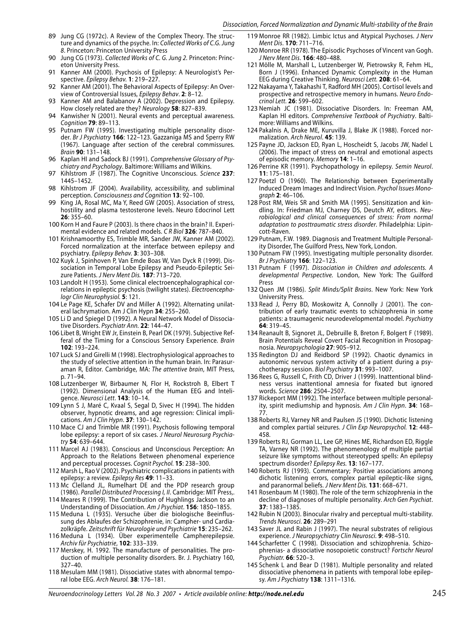- Jung CG (1972c). A Review of the Complex Theory. The struc-89 ture and dynamics of the psyche. In: *Collected Works of C.G. Jung 8*. Princeton: Princeton University Press
- 90 Jung CG (1973). Collected Works of C. G. Jung 2. Princeton: Princeton University Press.
- 91 Kanner AM (2000). Psychosis of Epilepsy: A Neurologist's Perspective. *Epilepsy Behav.* **1**: 219–227.
- 92 Kanner AM (2001). The Behavioral Aspects of Epilepsy: An Overview of Controversial Issues, *Epilepsy Behav*. **2**: 8–12.
- 93 Kanner AM and Balabanov A (2002). Depression and Epilepsy. How closely related are they? *Neurology* **58**: 827–839.
- 94 Kanwisher N (2001). Neural events and perceptual awareness. *Cognition* **79**: 89–113.
- 95 Putnam FW (1995). Investigating multiple personality disorder. *Br J Psychiatry* **166**: 122–123. Gazzaniga MS and Sperry RW (1967). Language after section of the cerebral commissures. *Brain* **90**: 131–148.
- 96 Kaplan HI and Sadock BJ (1991). Comprehensive Glossary of Psy*chiatry and Psychology*. Baltimore: Williams and Wilkins.
- 97 Kihlstrom JF (1987). The Cognitive Unconscious. Science 237: 1445–1452.
- 98 Kihlstrom JF (2004). Availability, accessibility, and subliminal perception. *Consciousness and Cognition* **13**: 92–100.
- 99 King JA, Rosal MC, Ma Y, Reed GW (2005). Association of stress, hostility and plasma testosterone levels. Neuro Edocrinol Lett **26**: 355–60.
- 100 Korn H and Faure P (2003). Is there chaos in the brain? II. Experimental evidence and related models. *C R Biol* **326**: 787–840.
- 101 Krishnamoorthy ES, Trimble MR, Sander JW, Kanner AM (2002). Forced normalization at the interface between epilepsy and psychiatry. *Epilepsy Behav.* **3**: 303–308.
- 102 Kuyk J, Spinhoven P, Van Emde Boas W, Van Dyck R (1999). Dissociation in Temporal Lobe Epilepsy and Pseudo-Epileptic Seizure Patients. *J Nerv Ment Dis.* **187**: 713–720.
- 103 Landolt H (1953). Some clinical electroencephalographical correlations in epileptic psychosis (twilight states). *Electroencephalogr Clin Neurophysiol.* **5**: 121.
- 104 Le Page KE, Schafer DV and Miller A (1992). Alternating unilateral lachrymation. Am J Clin Hypn **34**: 255–260.
- 105 Li D and Spiegel D (1992). A Neural Network Model of Dissociative Disorders. *Psychiatr Ann.* **22**: 144–47.
- 106 Libet B, Wright EW Jr, Einstein B, Pearl DK (1979). Subjective Refferal of the Timing for a Conscious Sensory Experience. *Brain* **102**: 193–224.
- 107 Luck SJ and Girelli M (1998). Electrophysiological approaches to the study of selective attention in the human brain. In: Parasuraman R, Editor. Cambridge, MA: *The attentive brain*, MIT Press, p. 71–94.
- 108 Lutzenberger W, Birbaumer N, Flor H, Rockstroh B, Elbert T (1992). Dimensional Analysis of the Human EEG and Inteligence. *Neurosci Lett*. **143**: 10–14.
- 109 Lynn S J, Maré C, Kvaal S, Segal D, Sivec H (1994). The hidden observer, hypnotic dreams, and age regression: Clinical implications. *Am J Clin Hypn*. **37**: 130–142.
- 110 Mace CJ and Trimble MR (1991). Psychosis following temporal lobe epilepsy: a report of six cases. *J Neurol Neurosurg Psychiatry* **54**: 639–644.
- 111 Marcel AJ (1983). Conscious and Unconscious Perception: An Approach to the Relations Between phenomenal experience and perceptual processes. *Cognit Psychol.* **15**: 238–300.
- 112 Marsh L, Rao V (2002). Psychiatric complications in patients with epilepsy: a review. *Epilepsy Res* **49**: 11–33.
- 113 Mc Clelland JL, Rumelhart DE and the PDP research group (1986). *Parallel Distributed Processing I, II*. Cambridge: MIT Press,.
- 114 Meares R (1999). The Contribution of Hughlings Jackson to an Understanding of Dissociation. *Am J Psychiat*. **156**: 1850–1855.
- 115 Meduna L (1935). Versuche über die biologische Beeinflussung des Ablaufes der Schizophrenie, in: Campher- und Cardiazolkräpfe. *Zeitschrift für Neurologie und Psychiatrie* **15**: 235–262.
- 116 Meduna L (1934). Über experimentelle Campherepilepsie. *Archiv für Psychiatrie*, **102**: 333–339.
- 117 Merskey, H. 1992. The manufacture of personalities. The production of multiple personality disorders. Br. J. Psychiatry 160, 327–40.
- 118 Mesulam MM (1981). Dissociative states with abnormal temporal lobe EEG. *Arch Neurol.* **38**: 176–181.
- 119 Monroe RR (1982). Limbic Ictus and Atypical Psychoses. *J Nerv Ment Dis*. **170**: 711–716.
- 120 Monroe RR (1978). The Episodic Psychoses of Vincent van Gogh. *J Nerv Ment Dis*. **166**: 480–488.
- 121 Mölle M, Marshall L, Lutzenberger W, Pietrowsky R, Fehm HL, Born J (1996). Enhanced Dynamic Complexity in the Human EEG during Creative Thinking. *Neurosci Lett.* **208**: 61–64.
- 122 Nakayama Y, Takahashi T, Radford MH (2005). Cortisol levels and prospective and retrospective memory in humans. *Neuro Endocrinol Lett.* **26**: 599–602.
- 123 Nemiah JC (1981). Dissociative Disorders. In: Freeman AM, Kaplan HI editors. *Comprehensive Textbook of Psychiatry*. Baltimore: Williams and Wilkins.
- 124 Pakalnis A, Drake ME, Kuruvilla J, Blake JK (1988). Forced normalization. *Arch Neurol*. **45**: 139.
- 125 Payne JD, Jackson ED, Ryan L, Hoscheidt S, Jacobs JW, Nadel L (2006). The impact of stress on neutral and emotional aspects of episodic memory. *Memory* **14**: 1–16.
- 126 Perrine KR (1991). Psychopathology in epilepsy. Semin Neurol. **11**: 175–181.
- 127 Poetzl O (1960). The Relationship between Experimentally Induced Dream Images and Indirect Vision. *Psychol Issues Monograph* **2**: 46–106.
- 128 Post RM, Weis SR and Smith MA (1995). Sensitization and kindling. In: Friedman MJ, Charney DS, Deutch AY, editors. *Neurobiological and clinical consequences of stress: From normal adaptation to posttraumatic stress disorder*. Philadelphia: Lipincott-Raven.
- 129 Putnam, F.W. 1989. Diagnosis and Treatment Multiple Personality Disorder, The Guilford Press, New York, London.
- 130 Putnam FW (1995). Investigating multiple personality disorder. *Br J Psychiatry* **166**: 122–123.
- 131 Putnam F (1997). Dissociation in Children and adolescents. A *developmental Perspective.* London, New York: The Guilford Press
- 132 Quen JM (1986). Split Minds/Split Brains. New York: New York University Press.
- 133 Read J, Perry BD, Moskowitz A, Connolly J (2001). The contribution of early traumatic events to schizophrenia in some patients: a traumagenic neurodevelopmental model. *Psychiatry* **64**: 319–45.
- 134 Reanault B, Signoret JL, Debruille B, Breton F, Bolgert F (1989). Brain Potentials Reveal Covert Facial Recognition in Prosopagnosia. *Neuropsychologia* **27**: 905–912.
- 135 Redington DJ and Reidbord SP (1992). Chaotic dynamics in autonomic nervous system activity of a patient during a psychotherapy session. *Biol Psychiatry* **31**: 993–1007.
- 136 Rees G, Russell C, Frith CD, Driver J (1999). Inattentional blindness versus inattentional amnesia for fixated but ignored words. *Science* **286**: 2504–2507.
- 137 Rickeport MM (1992). The interface between multiple personality, spirit mediumship and hypnosis. *Am J Clin Hypn*. **34**: 168– 77.
- 138 Roberts RJ, Varney NR and Paulsen JS (1990). Dichotic listening and complex partial seizures. *J Clin Exp Neuropsychol.* **12**: 448– 458.
- 139 Roberts RJ, Gorman LL, Lee GP, Hines ME, Richardson ED, Riggle TA, Varney NR (1992). The phenomenology of multiple partial seizure like symptoms without stereotyped spells: An epilepsy spectrum disorder? *Epilepsy Res.* **13**: 167–177.
- 140 Roberts RJ (1993). Commentary; Positive associations among dichotic listening errors, complex partial epileptic-like signs, and paranormal beliefs. *J Nerv Ment Dis.* **131**: 668–671.
- 141 Rosenbaum M (1980). The role of the term schizophrenia in the decline of diagnoses of multiple personality. *Arch Gen Psychiat*. **37**: 1383–1385.
- 142 Rubin N (2003). Binocular rivalry and perceptual multi-stability. *Trends Neurosci.* **26**: 289–291
- 143 Saver JL and Rabin J (1997). The neural substrates of religious experience. *J Neuropsychiatry Clin Neurosci.* **9**: 498–510.
- 144 Scharfetter C (1998). Dissociation and schizophrenia. Schizophrenias- a dissociative nosopoietic construct? *Fortschr Neurol Psychiatr.* **66**: 520–3.
- 145 Schenk L and Bear D (1981). Multiple personality and related dissociative phenomena in patients with temporal lobe epilepsy. *Am J Psychiatry* **138**: 1311–1316.